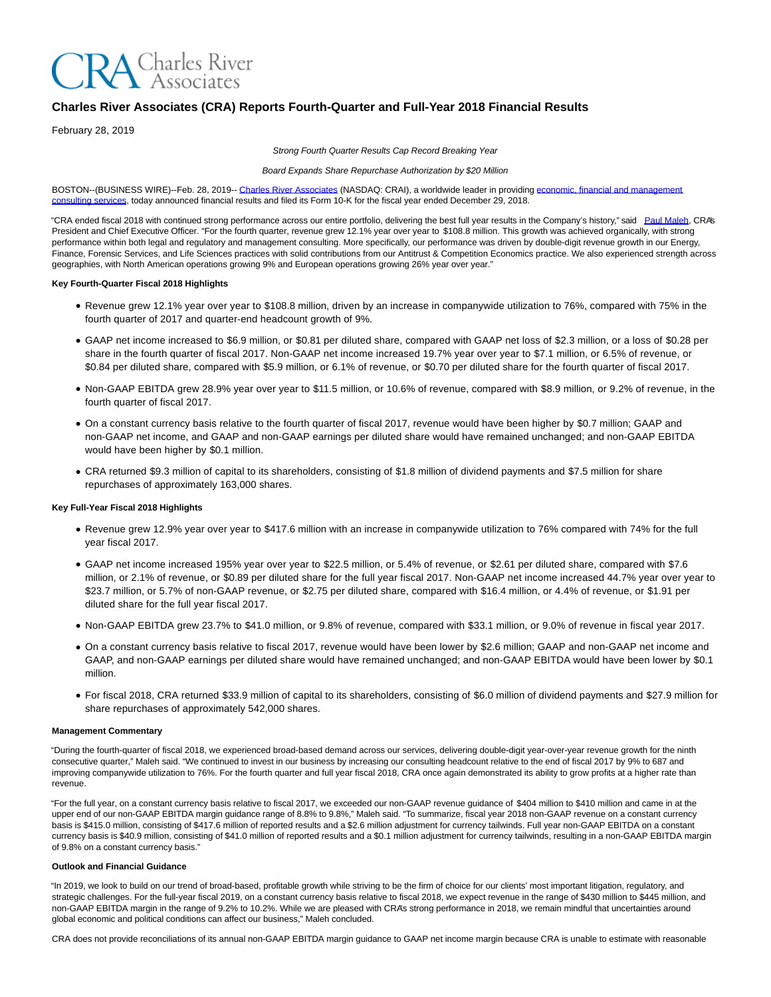

# **Charles River Associates (CRA) Reports Fourth-Quarter and Full-Year 2018 Financial Results**

February 28, 2019

Strong Fourth Quarter Results Cap Record Breaking Year

Board Expands Share Repurchase Authorization by \$20 Million

BOSTON--(BUSINESS WIRE)--Feb. 28, 2019-[- Charles River Associates \(](https://cts.businesswire.com/ct/CT?id=smartlink&url=http%3A%2F%2Fwww.crai.com%2FDefault.aspx&esheet=51947448&newsitemid=20190228005486&lan=en-US&anchor=Charles+River+Associates&index=1&md5=e21238f3cc7cea2713db11c2070e5fd7)NASDAQ: CRAI), a worldwide leader in providin[g economic, financial and management](https://cts.businesswire.com/ct/CT?id=smartlink&url=http%3A%2F%2Fwww.crai.com%2F&esheet=51947448&newsitemid=20190228005486&lan=en-US&anchor=economic%2C+financial+and+management+consulting+services&index=2&md5=169fb5b3e1fd436871664ab5b555160e) consulting services, today announced financial results and filed its Form 10-K for the fiscal year ended December 29, 2018.

"CRA ended fiscal 2018 with continued strong performance across our entire portfolio, delivering the best full year results in the Company's history," said [Paul Maleh,](https://cts.businesswire.com/ct/CT?id=smartlink&url=http%3A%2F%2Fwww.crai.com%2Fexpert%2Fpaul-maleh&esheet=51947448&newsitemid=20190228005486&lan=en-US&anchor=Paul+Maleh&index=3&md5=911806372d5d661871c0c2e6ba287ee7) CRA's President and Chief Executive Officer. "For the fourth quarter, revenue grew 12.1% year over year to \$108.8 million. This growth was achieved organically, with strong performance within both legal and regulatory and management consulting. More specifically, our performance was driven by double-digit revenue growth in our Energy, Finance, Forensic Services, and Life Sciences practices with solid contributions from our Antitrust & Competition Economics practice. We also experienced strength across geographies, with North American operations growing 9% and European operations growing 26% year over year."

#### **Key Fourth-Quarter Fiscal 2018 Highlights**

- Revenue grew 12.1% year over year to \$108.8 million, driven by an increase in companywide utilization to 76%, compared with 75% in the fourth quarter of 2017 and quarter-end headcount growth of 9%.
- GAAP net income increased to \$6.9 million, or \$0.81 per diluted share, compared with GAAP net loss of \$2.3 million, or a loss of \$0.28 per share in the fourth quarter of fiscal 2017. Non-GAAP net income increased 19.7% year over year to \$7.1 million, or 6.5% of revenue, or \$0.84 per diluted share, compared with \$5.9 million, or 6.1% of revenue, or \$0.70 per diluted share for the fourth quarter of fiscal 2017.
- Non-GAAP EBITDA grew 28.9% year over year to \$11.5 million, or 10.6% of revenue, compared with \$8.9 million, or 9.2% of revenue, in the fourth quarter of fiscal 2017.
- On a constant currency basis relative to the fourth quarter of fiscal 2017, revenue would have been higher by \$0.7 million; GAAP and non-GAAP net income, and GAAP and non-GAAP earnings per diluted share would have remained unchanged; and non-GAAP EBITDA would have been higher by \$0.1 million.
- CRA returned \$9.3 million of capital to its shareholders, consisting of \$1.8 million of dividend payments and \$7.5 million for share repurchases of approximately 163,000 shares.

### **Key Full-Year Fiscal 2018 Highlights**

- Revenue grew 12.9% year over year to \$417.6 million with an increase in companywide utilization to 76% compared with 74% for the full year fiscal 2017.
- GAAP net income increased 195% year over year to \$22.5 million, or 5.4% of revenue, or \$2.61 per diluted share, compared with \$7.6 million, or 2.1% of revenue, or \$0.89 per diluted share for the full year fiscal 2017. Non-GAAP net income increased 44.7% year over year to \$23.7 million, or 5.7% of non-GAAP revenue, or \$2.75 per diluted share, compared with \$16.4 million, or 4.4% of revenue, or \$1.91 per diluted share for the full year fiscal 2017.
- Non-GAAP EBITDA grew 23.7% to \$41.0 million, or 9.8% of revenue, compared with \$33.1 million, or 9.0% of revenue in fiscal year 2017.
- On a constant currency basis relative to fiscal 2017, revenue would have been lower by \$2.6 million; GAAP and non-GAAP net income and GAAP, and non-GAAP earnings per diluted share would have remained unchanged; and non-GAAP EBITDA would have been lower by \$0.1 million.
- For fiscal 2018, CRA returned \$33.9 million of capital to its shareholders, consisting of \$6.0 million of dividend payments and \$27.9 million for share repurchases of approximately 542,000 shares.

#### **Management Commentary**

"During the fourth-quarter of fiscal 2018, we experienced broad-based demand across our services, delivering double-digit year-over-year revenue growth for the ninth consecutive quarter," Maleh said. "We continued to invest in our business by increasing our consulting headcount relative to the end of fiscal 2017 by 9% to 687 and improving companywide utilization to 76%. For the fourth quarter and full year fiscal 2018, CRA once again demonstrated its ability to grow profits at a higher rate than revenue.

"For the full year, on a constant currency basis relative to fiscal 2017, we exceeded our non-GAAP revenue guidance of \$404 million to \$410 million and came in at the upper end of our non-GAAP EBITDA margin guidance range of 8.8% to 9.8%," Maleh said. "To summarize, fiscal year 2018 non-GAAP revenue on a constant currency basis is \$415.0 million, consisting of \$417.6 million of reported results and a \$2.6 million adjustment for currency tailwinds. Full year non-GAAP EBITDA on a constant currency basis is \$40.9 million, consisting of \$41.0 million of reported results and a \$0.1 million adjustment for currency tailwinds, resulting in a non-GAAP EBITDA margin of 9.8% on a constant currency basis."

#### **Outlook and Financial Guidance**

"In 2019, we look to build on our trend of broad-based, profitable growth while striving to be the firm of choice for our clients' most important litigation, regulatory, and strategic challenges. For the full-year fiscal 2019, on a constant currency basis relative to fiscal 2018, we expect revenue in the range of \$430 million to \$445 million, and non-GAAP EBITDA margin in the range of 9.2% to 10.2%. While we are pleased with CRA's strong performance in 2018, we remain mindful that uncertainties around global economic and political conditions can affect our business," Maleh concluded.

CRA does not provide reconciliations of its annual non-GAAP EBITDA margin guidance to GAAP net income margin because CRA is unable to estimate with reasonable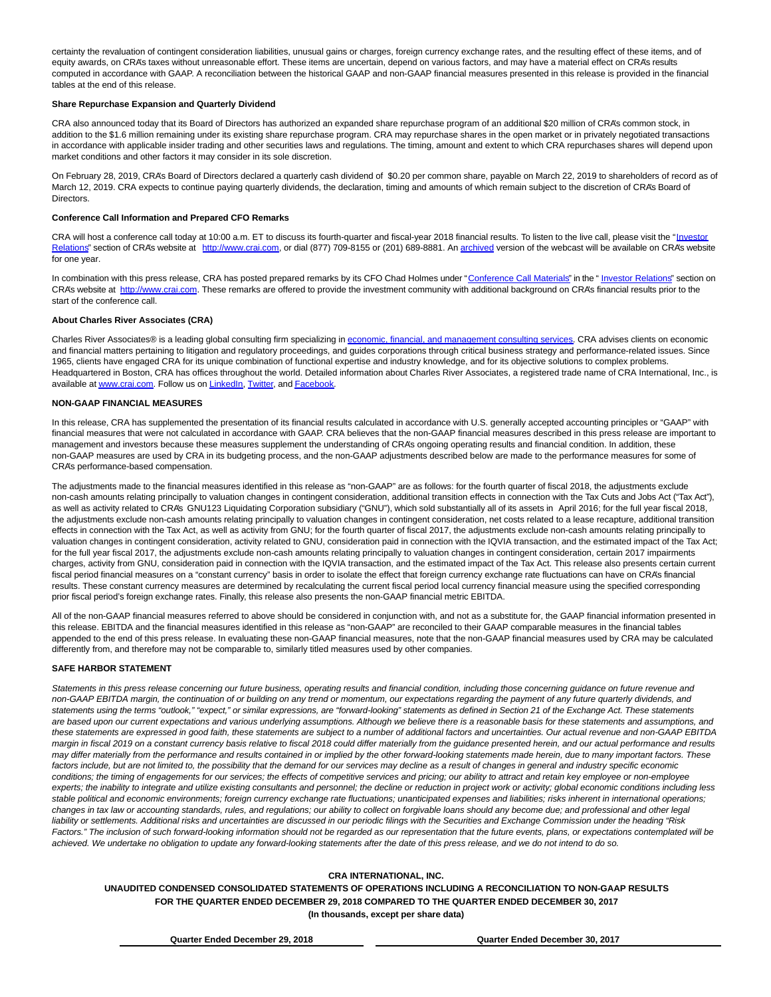certainty the revaluation of contingent consideration liabilities, unusual gains or charges, foreign currency exchange rates, and the resulting effect of these items, and of equity awards, on CRA's taxes without unreasonable effort. These items are uncertain, depend on various factors, and may have a material effect on CRA's results computed in accordance with GAAP. A reconciliation between the historical GAAP and non-GAAP financial measures presented in this release is provided in the financial tables at the end of this release.

#### **Share Repurchase Expansion and Quarterly Dividend**

CRA also announced today that its Board of Directors has authorized an expanded share repurchase program of an additional \$20 million of CRA's common stock, in addition to the \$1.6 million remaining under its existing share repurchase program. CRA may repurchase shares in the open market or in privately negotiated transactions in accordance with applicable insider trading and other securities laws and regulations. The timing, amount and extent to which CRA repurchases shares will depend upon market conditions and other factors it may consider in its sole discretion.

On February 28, 2019, CRA's Board of Directors declared a quarterly cash dividend of \$0.20 per common share, payable on March 22, 2019 to shareholders of record as of March 12, 2019. CRA expects to continue paying quarterly dividends, the declaration, timing and amounts of which remain subject to the discretion of CRA's Board of **Directors** 

#### **Conference Call Information and Prepared CFO Remarks**

CRA will host a conference call today at 10:00 a.m. ET to discuss its fourth-quarter and fiscal-year 2018 financial results. To listen to the live call, please visit the ["Investor](https://cts.businesswire.com/ct/CT?id=smartlink&url=https%3A%2F%2Fcrainternationalinc.gcs-web.com%2Finvestor-overview&esheet=51947448&newsitemid=20190228005486&lan=en-US&anchor=Investor+Relations&index=4&md5=9d788a4c9e1e6202115a08f416271da4) Relations" section of CRA's website at [http://www.crai.com,](https://cts.businesswire.com/ct/CT?id=smartlink&url=http%3A%2F%2Fwww.crai.com%2FDefault.aspx&esheet=51947448&newsitemid=20190228005486&lan=en-US&anchor=http%3A%2F%2Fwww.crai.com&index=5&md5=32c4db75c993862c6f68d0c513284588) or dial (877) 709-8155 or (201) 689-8881. A[n archived v](https://cts.businesswire.com/ct/CT?id=smartlink&url=https%3A%2F%2Fcrainternationalinc.gcs-web.com%2Fevents%2Fevent-details%2Fq3-2018-charles-river-associates-earnings-conference-call&esheet=51947448&newsitemid=20190228005486&lan=en-US&anchor=archived&index=6&md5=c7de414a4c9a9987f678295b2e5f8cde)ersion of the webcast will be available on CRA's website for one year.

In combination with this press release, CRA has posted prepared remarks by its CFO Chad Holmes under ["Conference Call Materials"](https://cts.businesswire.com/ct/CT?id=smartlink&url=https%3A%2F%2Fcrainternationalinc.gcs-web.com%2Ffinancial-information%2Fquarterly-results&esheet=51947448&newsitemid=20190228005486&lan=en-US&anchor=Conference+Call+Materials&index=7&md5=9536ee10225d6e3f0f95d85d03b294f0) in the " [Investor Relations"](https://cts.businesswire.com/ct/CT?id=smartlink&url=https%3A%2F%2Fcrainternationalinc.gcs-web.com%2Finvestor-overview&esheet=51947448&newsitemid=20190228005486&lan=en-US&anchor=Investor+Relations&index=8&md5=9baf7989152ee85a077b5198794e28d9) section on CRA's website at [http://www.crai.com.](https://cts.businesswire.com/ct/CT?id=smartlink&url=http%3A%2F%2Fwww.crai.com%2FDefault.aspx&esheet=51947448&newsitemid=20190228005486&lan=en-US&anchor=http%3A%2F%2Fwww.crai.com&index=9&md5=5f28fc15c1d06c88e481e2e1165e7fbb) These remarks are offered to provide the investment community with additional background on CRA's financial results prior to the start of the conference call.

### **About Charles River Associates (CRA)**

Charles River Associates® is a leading global consulting firm specializing i[n economic, financial, and management consulting services.](https://cts.businesswire.com/ct/CT?id=smartlink&url=http%3A%2F%2Fwww.crai.com%2F&esheet=51947448&newsitemid=20190228005486&lan=en-US&anchor=economic%2C+financial%2C+and+management+consulting+services&index=10&md5=e726abb212262c92ffb6de79ca07fbde) CRA advises clients on economic and financial matters pertaining to litigation and regulatory proceedings, and guides corporations through critical business strategy and performance-related issues. Since 1965, clients have engaged CRA for its unique combination of functional expertise and industry knowledge, and for its objective solutions to complex problems. Headquartered in Boston, CRA has offices throughout the world. Detailed information about Charles River Associates, a registered trade name of CRA International, Inc., is available at [www.crai.com.](https://cts.businesswire.com/ct/CT?id=smartlink&url=http%3A%2F%2Fwww.crai.com&esheet=51947448&newsitemid=20190228005486&lan=en-US&anchor=www.crai.com&index=11&md5=f9bf32d8d7c0d196615af31d4f4d51b7) Follow us on [LinkedIn,](https://cts.businesswire.com/ct/CT?id=smartlink&url=https%3A%2F%2Fwww.linkedin.com%2Fcompany%2Fcharles-river-associates&esheet=51947448&newsitemid=20190228005486&lan=en-US&anchor=LinkedIn&index=12&md5=7c9a9cbe6e0315ffa705ff1423096e6b) [Twitter,](https://cts.businesswire.com/ct/CT?id=smartlink&url=https%3A%2F%2Ftwitter.com%2FNews_CRA&esheet=51947448&newsitemid=20190228005486&lan=en-US&anchor=Twitter&index=13&md5=a87b36f6da08938c97ee2450d3b2b3fa) and [Facebook.](https://cts.businesswire.com/ct/CT?id=smartlink&url=https%3A%2F%2Fwww.facebook.com%2FCharlesRiverAssociates&esheet=51947448&newsitemid=20190228005486&lan=en-US&anchor=Facebook&index=14&md5=2c7f2cbc8f856bb867fe4aef2915e183)

#### **NON-GAAP FINANCIAL MEASURES**

In this release, CRA has supplemented the presentation of its financial results calculated in accordance with U.S. generally accepted accounting principles or "GAAP" with financial measures that were not calculated in accordance with GAAP. CRA believes that the non-GAAP financial measures described in this press release are important to management and investors because these measures supplement the understanding of CRA's ongoing operating results and financial condition. In addition, these non-GAAP measures are used by CRA in its budgeting process, and the non-GAAP adjustments described below are made to the performance measures for some of CRA's performance-based compensation.

The adjustments made to the financial measures identified in this release as "non-GAAP" are as follows: for the fourth quarter of fiscal 2018, the adjustments exclude non-cash amounts relating principally to valuation changes in contingent consideration, additional transition effects in connection with the Tax Cuts and Jobs Act ("Tax Act"), as well as activity related to CRA's GNU123 Liquidating Corporation subsidiary ("GNU"), which sold substantially all of its assets in April 2016; for the full year fiscal 2018, the adjustments exclude non-cash amounts relating principally to valuation changes in contingent consideration, net costs related to a lease recapture, additional transition effects in connection with the Tax Act, as well as activity from GNU; for the fourth quarter of fiscal 2017, the adjustments exclude non-cash amounts relating principally to valuation changes in contingent consideration, activity related to GNU, consideration paid in connection with the IQVIA transaction, and the estimated impact of the Tax Act; for the full year fiscal 2017, the adjustments exclude non-cash amounts relating principally to valuation changes in contingent consideration, certain 2017 impairments charges, activity from GNU, consideration paid in connection with the IQVIA transaction, and the estimated impact of the Tax Act. This release also presents certain current fiscal period financial measures on a "constant currency" basis in order to isolate the effect that foreign currency exchange rate fluctuations can have on CRA's financial results. These constant currency measures are determined by recalculating the current fiscal period local currency financial measure using the specified corresponding prior fiscal period's foreign exchange rates. Finally, this release also presents the non-GAAP financial metric EBITDA.

All of the non-GAAP financial measures referred to above should be considered in conjunction with, and not as a substitute for, the GAAP financial information presented in this release. EBITDA and the financial measures identified in this release as "non-GAAP" are reconciled to their GAAP comparable measures in the financial tables appended to the end of this press release. In evaluating these non-GAAP financial measures, note that the non-GAAP financial measures used by CRA may be calculated differently from, and therefore may not be comparable to, similarly titled measures used by other companies.

#### **SAFE HARBOR STATEMENT**

Statements in this press release concerning our future business, operating results and financial condition, including those concerning guidance on future revenue and non-GAAP EBITDA margin, the continuation of or building on any trend or momentum, our expectations regarding the payment of any future quarterly dividends, and statements using the terms "outlook," "expect," or similar expressions, are "forward-looking" statements as defined in Section 21 of the Exchange Act. These statements are based upon our current expectations and various underlying assumptions. Although we believe there is a reasonable basis for these statements and assumptions, and these statements are expressed in good faith, these statements are subject to a number of additional factors and uncertainties. Our actual revenue and non-GAAP EBITDA margin in fiscal 2019 on a constant currency basis relative to fiscal 2018 could differ materially from the guidance presented herein, and our actual performance and results may differ materially from the performance and results contained in or implied by the other forward-looking statements made herein, due to many important factors. These factors include, but are not limited to, the possibility that the demand for our services may decline as a result of changes in general and industry specific economic conditions; the timing of engagements for our services; the effects of competitive services and pricing; our ability to attract and retain key employee or non-employee experts; the inability to integrate and utilize existing consultants and personnel; the decline or reduction in project work or activity; global economic conditions including less stable political and economic environments; foreign currency exchange rate fluctuations; unanticipated expenses and liabilities; risks inherent in international operations; changes in tax law or accounting standards, rules, and regulations; our ability to collect on forgivable loans should any become due; and professional and other legal liability or settlements. Additional risks and uncertainties are discussed in our periodic filings with the Securities and Exchange Commission under the heading "Risk Factors." The inclusion of such forward-looking information should not be regarded as our representation that the future events, plans, or expectations contemplated will be achieved. We undertake no obligation to update any forward-looking statements after the date of this press release, and we do not intend to do so.

#### **CRA INTERNATIONAL, INC.**

**UNAUDITED CONDENSED CONSOLIDATED STATEMENTS OF OPERATIONS INCLUDING A RECONCILIATION TO NON-GAAP RESULTS FOR THE QUARTER ENDED DECEMBER 29, 2018 COMPARED TO THE QUARTER ENDED DECEMBER 30, 2017 (In thousands, except per share data)**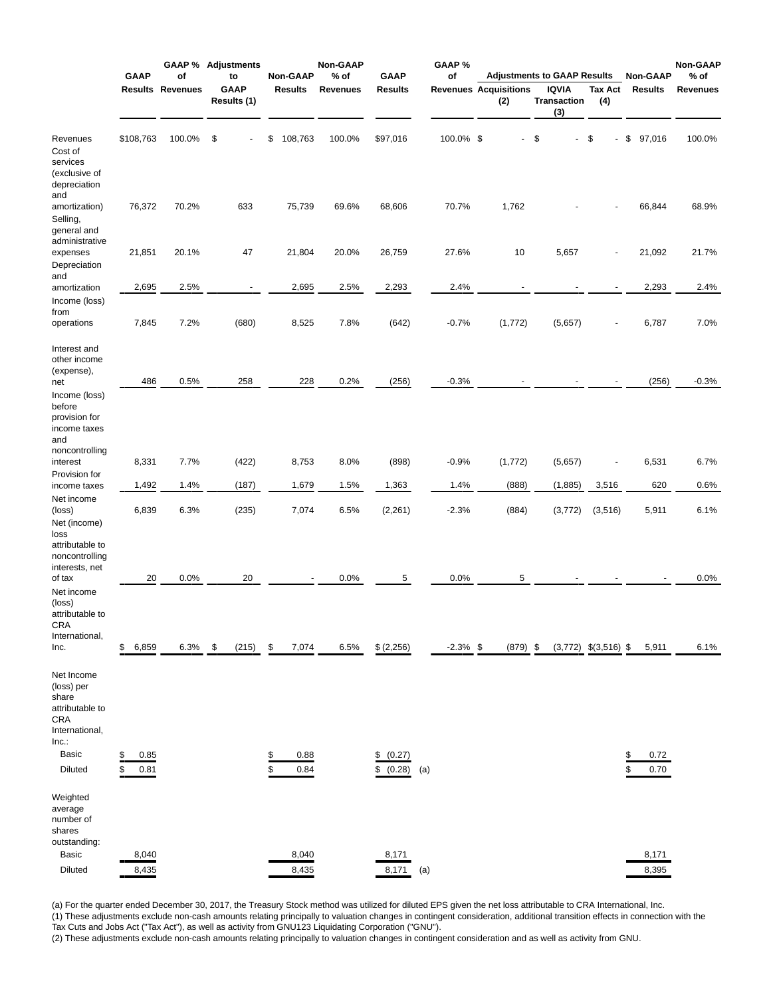| <b>GAAP</b>                                                                                           |                             | οf                      | <b>GAAP % Adjustments</b><br>to | Non-GAAP                     | Non-GAAP<br>% of | <b>GAAP</b>                                  | GAAP %<br>οf |                                     | <b>Adjustments to GAAP Results</b>        |                           | <b>Non-GAAP</b>              | Non-GAAP<br>$%$ of |
|-------------------------------------------------------------------------------------------------------|-----------------------------|-------------------------|---------------------------------|------------------------------|------------------|----------------------------------------------|--------------|-------------------------------------|-------------------------------------------|---------------------------|------------------------------|--------------------|
|                                                                                                       |                             | <b>Results Revenues</b> | <b>GAAP</b><br>Results (1)      | <b>Results</b>               | <b>Revenues</b>  | <b>Results</b>                               |              | <b>Revenues Acquisitions</b><br>(2) | <b>IQVIA</b><br><b>Transaction</b><br>(3) | <b>Tax Act</b><br>(4)     | <b>Results</b>               | <b>Revenues</b>    |
| Revenues<br>Cost of<br>services<br>(exclusive of<br>depreciation                                      | \$108,763                   | 100.0%                  | \$                              | \$<br>108,763                | 100.0%           | \$97,016                                     | 100.0% \$    | $\blacksquare$                      | \$                                        | - \$                      | \$<br>97,016                 | 100.0%             |
| and<br>amortization)<br>Selling,<br>general and<br>administrative                                     | 76,372                      | 70.2%                   | 633                             | 75,739                       | 69.6%            | 68,606                                       | 70.7%        | 1,762                               |                                           |                           | 66,844                       | 68.9%              |
| expenses<br>Depreciation<br>and                                                                       | 21,851                      | 20.1%                   | 47                              | 21,804                       | 20.0%            | 26,759                                       | 27.6%        | 10                                  | 5,657                                     |                           | 21,092                       | 21.7%              |
| amortization<br>Income (loss)<br>from                                                                 | 2,695                       | 2.5%                    | $\blacksquare$                  | 2,695                        | 2.5%             | 2,293                                        | 2.4%         |                                     |                                           |                           | 2,293                        | 2.4%               |
| operations                                                                                            | 7,845                       | 7.2%                    | (680)                           | 8,525                        | 7.8%             | (642)                                        | $-0.7%$      | (1, 772)                            | (5,657)                                   |                           | 6,787                        | 7.0%               |
| Interest and<br>other income<br>(expense),<br>net<br>Income (loss)<br>before                          | 486                         | 0.5%                    | 258                             | 228                          | 0.2%             | (256)                                        | $-0.3%$      |                                     |                                           |                           | (256)                        | $-0.3%$            |
| provision for<br>income taxes<br>and<br>noncontrolling<br>interest                                    | 8,331                       | 7.7%                    | (422)                           | 8,753                        | 8.0%             | (898)                                        | $-0.9%$      | (1, 772)                            | (5,657)                                   |                           | 6,531                        | 6.7%               |
| Provision for<br>income taxes                                                                         | 1,492                       | 1.4%                    | (187)                           | 1,679                        | 1.5%             | 1,363                                        | 1.4%         | (888)                               | (1,885)                                   | 3,516                     | 620                          | 0.6%               |
| Net income<br>(loss)<br>Net (income)<br>loss                                                          | 6,839                       | 6.3%                    | (235)                           | 7,074                        | 6.5%             | (2, 261)                                     | $-2.3%$      | (884)                               | (3, 772)                                  | (3, 516)                  | 5,911                        | 6.1%               |
| attributable to<br>noncontrolling<br>interests, net<br>of tax                                         | 20                          | 0.0%                    | 20                              |                              | 0.0%             | 5                                            | 0.0%         | 5                                   |                                           |                           |                              | 0.0%               |
| Net income<br>(loss)<br>attributable to<br>CRA<br>International,                                      |                             |                         |                                 |                              |                  |                                              |              |                                     |                                           |                           |                              |                    |
| Inc.                                                                                                  | \$<br>6,859                 | 6.3%                    | \$<br>(215)                     | 7,074<br>\$                  | 6.5%             | \$ (2,256)                                   | $-2.3\%$ \$  | $(879)$ \$                          |                                           | $(3,772)$ \$ $(3,516)$ \$ | 5,911                        | 6.1%               |
| Net Income<br>(loss) per<br>share<br>attributable to<br><b>CRA</b><br>International,<br>Inc.<br>Basic | \$<br>0.85                  |                         |                                 | 0.88<br>\$                   |                  | \$<br>(0.27)                                 |              |                                     |                                           |                           | 0.72<br>\$                   |                    |
| Diluted<br>Weighted<br>average<br>number of<br>shares<br>outstanding:<br>Basic<br>Diluted             | S<br>0.81<br>8,040<br>8,435 |                         |                                 | \$<br>0.84<br>8,040<br>8,435 |                  | (0.28)<br>\$<br>(a)<br>8,171<br>8,171<br>(a) |              |                                     |                                           |                           | 0.70<br>\$<br>8,171<br>8,395 |                    |

(a) For the quarter ended December 30, 2017, the Treasury Stock method was utilized for diluted EPS given the net loss attributable to CRA International, Inc.

(1) These adjustments exclude non-cash amounts relating principally to valuation changes in contingent consideration, additional transition effects in connection with the Tax Cuts and Jobs Act ("Tax Act"), as well as activity from GNU123 Liquidating Corporation ("GNU").

(2) These adjustments exclude non-cash amounts relating principally to valuation changes in contingent consideration and as well as activity from GNU.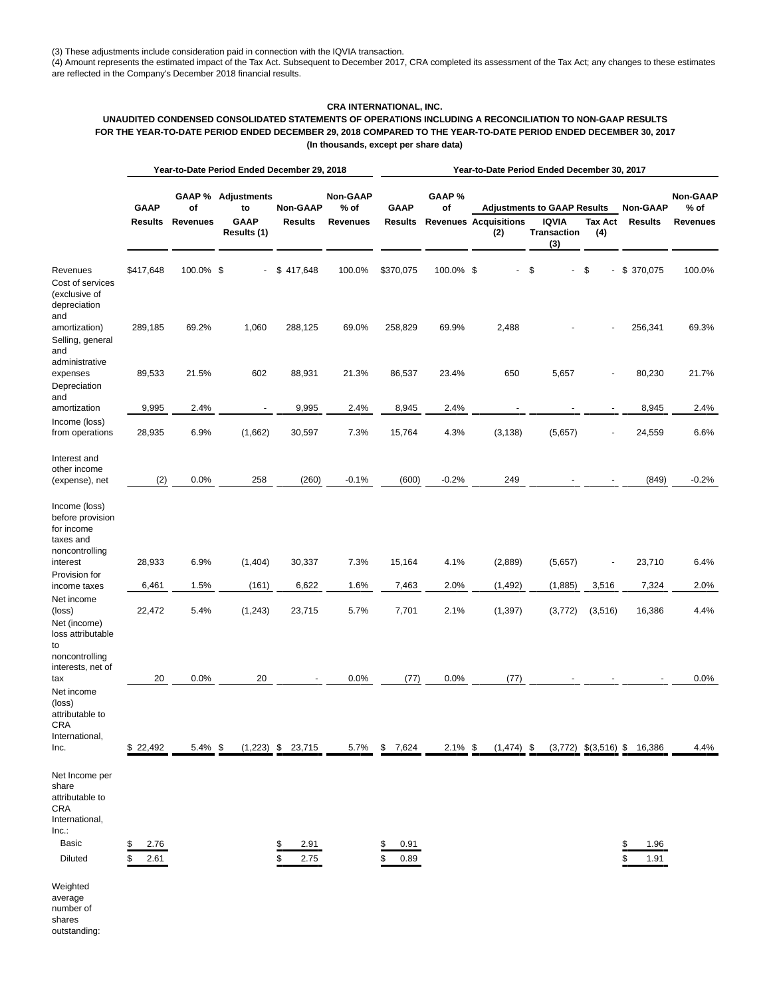(3) These adjustments include consideration paid in connection with the IQVIA transaction.

(4) Amount represents the estimated impact of the Tax Act. Subsequent to December 2017, CRA completed its assessment of the Tax Act; any changes to these estimates are reflected in the Company's December 2018 financial results.

# **CRA INTERNATIONAL, INC.**

# **UNAUDITED CONDENSED CONSOLIDATED STATEMENTS OF OPERATIONS INCLUDING A RECONCILIATION TO NON-GAAP RESULTS FOR THE YEAR-TO-DATE PERIOD ENDED DECEMBER 29, 2018 COMPARED TO THE YEAR-TO-DATE PERIOD ENDED DECEMBER 30, 2017 (In thousands, except per share data)**

|                                                                                      |                        |                       | Year-to-Date Period Ended December 29, 2018                   |                                   | Year-to-Date Period Ended December 30, 2017  |                               |             |                                     |                                                                   |                           |                                   |                                       |  |
|--------------------------------------------------------------------------------------|------------------------|-----------------------|---------------------------------------------------------------|-----------------------------------|----------------------------------------------|-------------------------------|-------------|-------------------------------------|-------------------------------------------------------------------|---------------------------|-----------------------------------|---------------------------------------|--|
|                                                                                      | <b>GAAP</b><br>Results | of<br><b>Revenues</b> | <b>GAAP % Adjustments</b><br>to<br><b>GAAP</b><br>Results (1) | <b>Non-GAAP</b><br><b>Results</b> | <b>Non-GAAP</b><br>$%$ of<br><b>Revenues</b> | <b>GAAP</b><br><b>Results</b> | GAAP%<br>of | <b>Revenues Acquisitions</b><br>(2) | <b>Adjustments to GAAP Results</b><br>IQVIA<br>Transaction<br>(3) | Tax Act<br>(4)            | <b>Non-GAAP</b><br><b>Results</b> | Non-GAAP<br>$%$ of<br><b>Revenues</b> |  |
| Revenues<br>Cost of services<br>(exclusive of<br>depreciation                        | \$417,648              | 100.0% \$             |                                                               | \$417,648                         | 100.0%                                       | \$370,075                     | 100.0% \$   |                                     | \$                                                                | \$                        | $-$ \$ 370,075                    | 100.0%                                |  |
| and<br>amortization)<br>Selling, general<br>and<br>administrative                    | 289,185                | 69.2%                 | 1,060                                                         | 288,125                           | 69.0%                                        | 258,829                       | 69.9%       | 2,488                               |                                                                   |                           | 256,341                           | 69.3%                                 |  |
| expenses<br>Depreciation<br>and                                                      | 89,533                 | 21.5%                 | 602                                                           | 88,931                            | 21.3%                                        | 86,537                        | 23.4%       | 650                                 | 5,657                                                             |                           | 80,230                            | 21.7%                                 |  |
| amortization                                                                         | 9,995                  | 2.4%                  | $\blacksquare$                                                | 9,995                             | 2.4%                                         | 8,945                         | 2.4%        |                                     |                                                                   |                           | 8,945                             | 2.4%                                  |  |
| Income (loss)<br>from operations                                                     | 28,935                 | 6.9%                  | (1,662)                                                       | 30,597                            | 7.3%                                         | 15,764                        | 4.3%        | (3, 138)                            | (5,657)                                                           |                           | 24,559                            | 6.6%                                  |  |
| Interest and<br>other income<br>(expense), net                                       | (2)                    | 0.0%                  | 258                                                           | (260)                             | $-0.1%$                                      | (600)                         | $-0.2%$     | 249                                 |                                                                   |                           | (849)                             | $-0.2%$                               |  |
| Income (loss)<br>before provision<br>for income<br>taxes and<br>noncontrolling       |                        |                       |                                                               |                                   |                                              |                               |             |                                     |                                                                   |                           |                                   |                                       |  |
| interest<br>Provision for                                                            | 28,933                 | 6.9%                  | (1,404)                                                       | 30,337                            | 7.3%                                         | 15,164                        | 4.1%        | (2,889)                             | (5,657)                                                           |                           | 23,710                            | 6.4%                                  |  |
| income taxes                                                                         | 6,461                  | 1.5%                  | (161)                                                         | 6,622                             | 1.6%                                         | 7,463                         | 2.0%        | (1, 492)                            | (1,885)                                                           | 3,516                     | 7,324                             | 2.0%                                  |  |
| Net income<br>(loss)<br>Net (income)<br>loss attributable<br>to<br>noncontrolling    | 22,472                 | 5.4%                  | (1,243)                                                       | 23,715                            | 5.7%                                         | 7,701                         | 2.1%        | (1, 397)                            | (3, 772)                                                          | (3,516)                   | 16,386                            | 4.4%                                  |  |
| interests, net of                                                                    | 20                     | 0.0%                  | 20                                                            |                                   | 0.0%                                         | (77)                          | 0.0%        | (77)                                |                                                                   |                           |                                   | 0.0%                                  |  |
| tax<br>Net income<br>(loss)<br>attributable to<br>CRA<br>International,<br>Inc.      | \$22,492               | $5.4\%$ \$            | $(1,223)$ \$                                                  | 23,715                            | 5.7%                                         | 7,624<br>\$                   | $2.1\%$ \$  | $(1, 474)$ \$                       |                                                                   | $(3,772)$ \$ $(3,516)$ \$ | 16,386                            | 4.4%                                  |  |
| Net Income per<br>share<br>attributable to<br>CRA<br>International,<br>Inc.<br>Basic | 2.76<br>\$             |                       |                                                               | 2.91<br>S                         |                                              | 0.91<br>\$                    |             |                                     |                                                                   |                           | \$<br>1.96                        |                                       |  |
| Diluted<br>Weighted                                                                  | \$<br>2.61             |                       |                                                               | \$<br>2.75                        |                                              | \$<br>0.89                    |             |                                     |                                                                   |                           | \$<br>1.91                        |                                       |  |

average number of shares outstanding: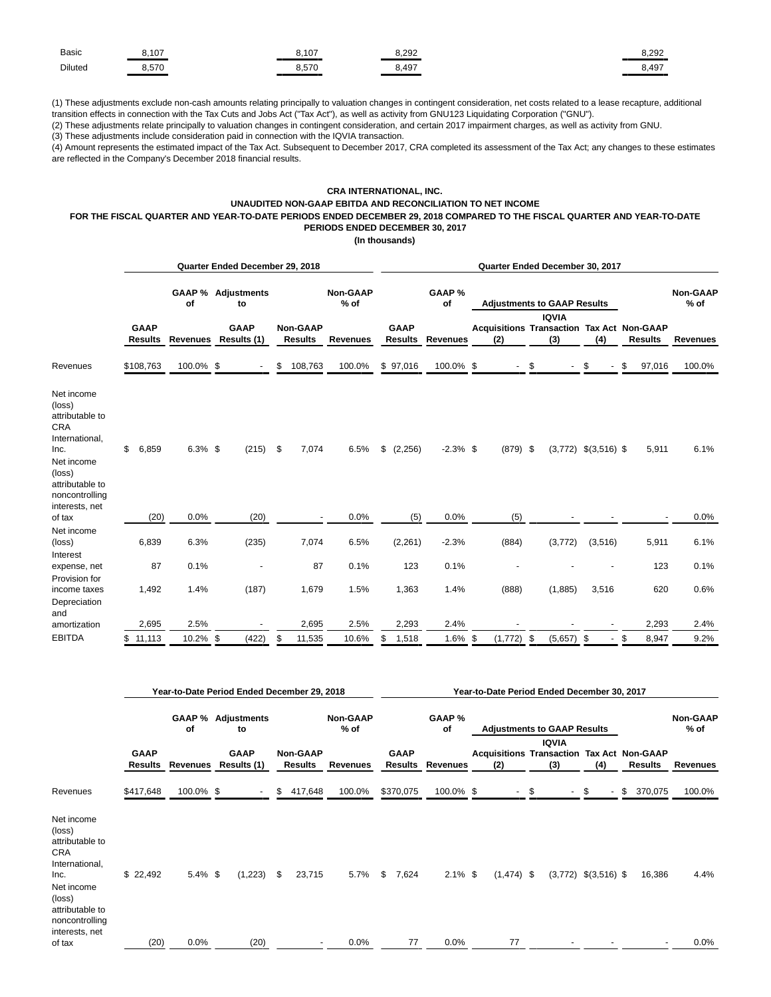| <b>Basic</b> | $\sqrt{2}$<br>U.<br>____ | $\sim$<br>.<br>____ | $\sim$<br>____           | 0.000<br>ے9∠0. ت |
|--------------|--------------------------|---------------------|--------------------------|------------------|
| Diluted      | 570                      | $-70$<br>           | $\sim$ 40 $\sim$<br>∪.⊤∪ | 8.497            |

(1) These adjustments exclude non-cash amounts relating principally to valuation changes in contingent consideration, net costs related to a lease recapture, additional transition effects in connection with the Tax Cuts and Jobs Act ("Tax Act"), as well as activity from GNU123 Liquidating Corporation ("GNU").

(2) These adjustments relate principally to valuation changes in contingent consideration, and certain 2017 impairment charges, as well as activity from GNU. (3) These adjustments include consideration paid in connection with the IQVIA transaction.

(4) Amount represents the estimated impact of the Tax Act. Subsequent to December 2017, CRA completed its assessment of the Tax Act; any changes to these estimates are reflected in the Company's December 2018 financial results.

## **CRA INTERNATIONAL, INC. UNAUDITED NON-GAAP EBITDA AND RECONCILIATION TO NET INCOME FOR THE FISCAL QUARTER AND YEAR-TO-DATE PERIODS ENDED DECEMBER 29, 2018 COMPARED TO THE FISCAL QUARTER AND YEAR-TO-DATE PERIODS ENDED DECEMBER 30, 2017**

**(In thousands)**

|                                                                                                                                       | Quarter Ended December 29, 2018           |            |                                             |                                                      |                                   |                         | Quarter Ended December 30, 2017 |                               |                 |                                                                                |                                                         |    |                          |                           |      |                 |                           |
|---------------------------------------------------------------------------------------------------------------------------------------|-------------------------------------------|------------|---------------------------------------------|------------------------------------------------------|-----------------------------------|-------------------------|---------------------------------|-------------------------------|-----------------|--------------------------------------------------------------------------------|---------------------------------------------------------|----|--------------------------|---------------------------|------|-----------------|---------------------------|
|                                                                                                                                       |                                           | οf         | <b>GAAP % Adjustments</b><br>to             |                                                      |                                   | <b>Non-GAAP</b><br>% of |                                 |                               | GAAP %<br>οf    |                                                                                | <b>Adjustments to GAAP Results</b>                      |    |                          |                           |      |                 | <b>Non-GAAP</b><br>$%$ of |
|                                                                                                                                       | <b>GAAP</b><br><b>Results</b><br>Revenues |            | <b>GAAP</b><br>Results (1)                  | <b>Non-GAAP</b><br><b>Results</b><br><b>Revenues</b> |                                   |                         | <b>GAAP</b><br><b>Results</b>   | <b>Revenues</b>               |                 | <b>IQVIA</b><br><b>Acquisitions Transaction Tax Act Non-GAAP</b><br>(3)<br>(2) |                                                         |    | (4)                      | <b>Results</b>            |      | <b>Revenues</b> |                           |
| Revenues                                                                                                                              | \$108,763                                 | 100.0% \$  |                                             | \$                                                   | 108,763                           | 100.0%                  |                                 | \$97,016                      | 100.0% \$       |                                                                                |                                                         | \$ |                          | \$                        | \$   | 97,016          | 100.0%                    |
| Net income<br>(loss)<br>attributable to<br>CRA<br>International,<br>Inc.<br>Net income<br>(loss)<br>attributable to<br>noncontrolling | \$<br>6,859                               | $6.3\%$ \$ | (215)                                       | \$                                                   | 7,074                             | 6.5%                    | \$                              | (2,256)                       | $-2.3\%$ \$     |                                                                                | $(879)$ \$                                              |    |                          | $(3,772)$ \$ $(3,516)$ \$ |      | 5,911           | 6.1%                      |
| interests, net<br>of tax                                                                                                              | (20)                                      | 0.0%       | (20)                                        |                                                      | $\overline{\phantom{a}}$          | 0.0%                    |                                 | (5)                           | 0.0%            |                                                                                | (5)                                                     |    |                          |                           |      |                 | 0.0%                      |
| Net income<br>(loss)                                                                                                                  | 6,839                                     | 6.3%       | (235)                                       |                                                      | 7,074                             | 6.5%                    |                                 | (2,261)                       | $-2.3%$         |                                                                                | (884)                                                   |    | (3, 772)                 | (3, 516)                  |      | 5,911           | 6.1%                      |
| Interest<br>expense, net                                                                                                              | 87                                        | 0.1%       | ٠                                           |                                                      | 87                                | 0.1%                    |                                 | 123                           | 0.1%            |                                                                                |                                                         |    |                          |                           |      | 123             | 0.1%                      |
| Provision for<br>income taxes<br>Depreciation                                                                                         | 1,492                                     | 1.4%       | (187)                                       |                                                      | 1,679                             | 1.5%                    |                                 | 1,363                         | 1.4%            |                                                                                | (888)                                                   |    | (1,885)                  | 3,516                     |      | 620             | 0.6%                      |
| and<br>amortization                                                                                                                   | 2,695                                     | 2.5%       |                                             |                                                      | 2,695                             | 2.5%                    |                                 | 2,293                         | 2.4%            |                                                                                |                                                         |    |                          |                           |      | 2,293           | 2.4%                      |
| <b>EBITDA</b>                                                                                                                         | \$<br>11,113                              | 10.2% \$   | (422)                                       | \$                                                   | 11,535                            | 10.6%                   | \$                              | 1,518                         | 1.6% \$         |                                                                                | (1,772)                                                 | \$ | (5,657)                  | \$                        | \$   | 8,947           | 9.2%                      |
|                                                                                                                                       |                                           |            | Year-to-Date Period Ended December 29, 2018 |                                                      |                                   |                         |                                 |                               |                 |                                                                                | Year-to-Date Period Ended December 30, 2017             |    |                          |                           |      |                 |                           |
|                                                                                                                                       |                                           | οf         | <b>GAAP % Adjustments</b><br>to             |                                                      |                                   | <b>Non-GAAP</b><br>% of |                                 |                               | GAAP %<br>οf    |                                                                                | <b>Adjustments to GAAP Results</b>                      |    |                          |                           |      |                 | <b>Non-GAAP</b><br>$%$ of |
|                                                                                                                                       | <b>GAAP</b><br>Results                    | Revenues   | <b>GAAP</b><br>Results (1)                  |                                                      | <b>Non-GAAP</b><br><b>Results</b> | <b>Revenues</b>         |                                 | <b>GAAP</b><br><b>Results</b> | <b>Revenues</b> |                                                                                | <b>Acquisitions Transaction Tax Act Non-GAAP</b><br>(2) |    | <b>IQVIA</b><br>(3)      | (4)                       |      | <b>Results</b>  | <b>Revenues</b>           |
| Revenues                                                                                                                              | \$417,648                                 | 100.0% \$  |                                             | \$                                                   | 417,648                           | 100.0%                  |                                 | \$370,075                     | 100.0% \$       |                                                                                | $\blacksquare$                                          | \$ | $\overline{\phantom{a}}$ | \$                        | - \$ | 370,075         | 100.0%                    |
| Net income<br>(loss)<br>attributable to<br>CRA<br>International,<br>Inc.<br>Net income<br>(loss)<br>attributable to<br>noncontrolling | \$22,492                                  | $5.4\%$ \$ | $(1,223)$ \$                                |                                                      | 23,715                            | 5.7%                    |                                 | \$7,624                       | $2.1\%$ \$      |                                                                                | $(1,474)$ \$                                            |    |                          | $(3,772)$ \$ $(3,516)$ \$ |      | 16,386          | 4.4%                      |
| interests, net<br>of tax                                                                                                              | (20)                                      | 0.0%       | (20)                                        |                                                      |                                   | $0.0\%$                 |                                 | 77                            | $0.0\%$         |                                                                                | 77                                                      |    |                          |                           |      |                 | 0.0%                      |
|                                                                                                                                       |                                           |            |                                             |                                                      |                                   |                         |                                 |                               |                 |                                                                                |                                                         |    |                          |                           |      |                 |                           |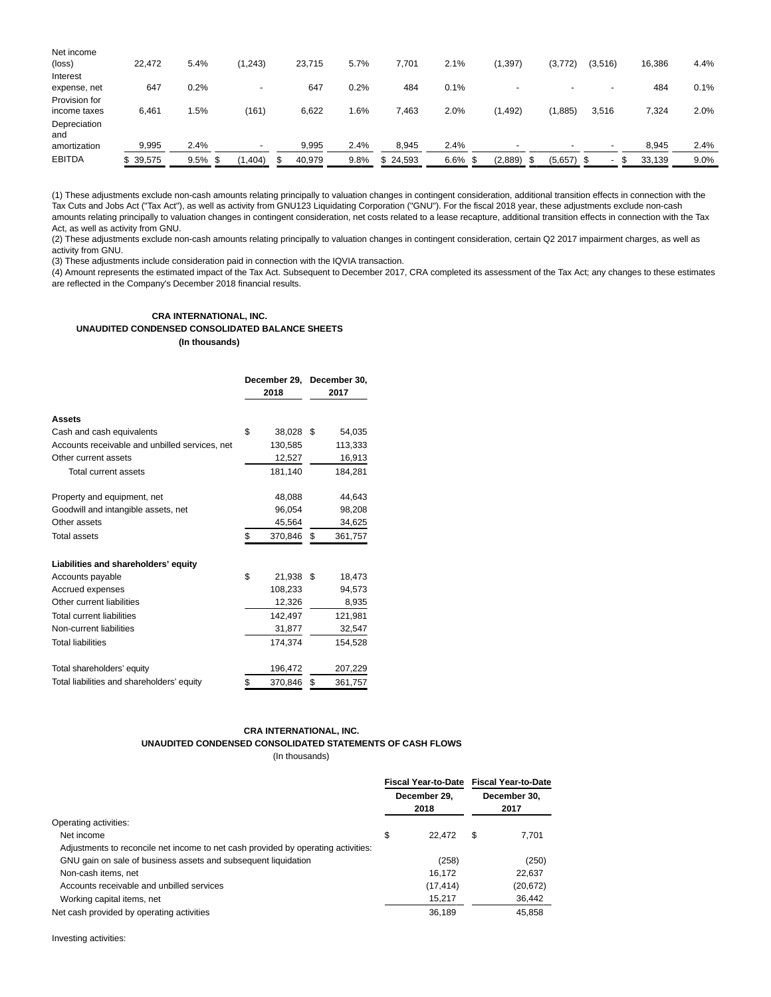| Net income      |               |            |                          |        |         |          |            |          |                          |         |  |        |      |
|-----------------|---------------|------------|--------------------------|--------|---------|----------|------------|----------|--------------------------|---------|--|--------|------|
| $(\text{loss})$ | 22.472        | 5.4%       | (1,243)                  | 23.715 | 5.7%    | 7,701    | 2.1%       | (1, 397) | (3,772)                  | (3,516) |  | 16,386 | 4.4% |
| Interest        |               |            |                          |        |         |          |            |          |                          |         |  |        |      |
| expense, net    | 647           | 0.2%       | $\overline{\phantom{0}}$ | 647    | $0.2\%$ | 484      | 0.1%       |          | $\overline{\phantom{0}}$ |         |  | 484    | 0.1% |
| Provision for   |               |            |                          |        |         |          |            |          |                          |         |  |        |      |
| income taxes    | 6,461         | 1.5%       | (161)                    | 6,622  | l.6%    | 7,463    | 2.0%       | (1, 492) | (1,885)                  | 3,516   |  | 7,324  | 2.0% |
| Depreciation    |               |            |                          |        |         |          |            |          |                          |         |  |        |      |
| and             |               |            |                          |        |         |          |            |          |                          |         |  |        |      |
| amortization    | 9,995         | 2.4%       | $\overline{\phantom{0}}$ | 9,995  | 2.4%    | 8,945    | 2.4%       |          | $\overline{\phantom{0}}$ |         |  | 8,945  | 2.4% |
| <b>EBITDA</b>   | 39,575<br>\$. | $9.5\%$ \$ | ,404)                    | 40,979 | 9.8%    | \$24,593 | $6.6\%$ \$ | (2,889)  | $(5,657)$ \$             |         |  | 33,139 | 9.0% |
|                 |               |            |                          |        |         |          |            |          |                          |         |  |        |      |

(1) These adjustments exclude non-cash amounts relating principally to valuation changes in contingent consideration, additional transition effects in connection with the Tax Cuts and Jobs Act ("Tax Act"), as well as activity from GNU123 Liquidating Corporation ("GNU"). For the fiscal 2018 year, these adjustments exclude non-cash amounts relating principally to valuation changes in contingent consideration, net costs related to a lease recapture, additional transition effects in connection with the Tax Act, as well as activity from GNU.

(2) These adjustments exclude non-cash amounts relating principally to valuation changes in contingent consideration, certain Q2 2017 impairment charges, as well as activity from GNU.

(3) These adjustments include consideration paid in connection with the IQVIA transaction.

(4) Amount represents the estimated impact of the Tax Act. Subsequent to December 2017, CRA completed its assessment of the Tax Act; any changes to these estimates are reflected in the Company's December 2018 financial results.

# **CRA INTERNATIONAL, INC. UNAUDITED CONDENSED CONSOLIDATED BALANCE SHEETS (In thousands)**

|                                                | 2018          | December 29, December 30,<br>2017 |         |  |
|------------------------------------------------|---------------|-----------------------------------|---------|--|
| <b>Assets</b>                                  |               |                                   |         |  |
| Cash and cash equivalents                      | \$<br>38,028  | S.                                | 54,035  |  |
| Accounts receivable and unbilled services, net | 130,585       |                                   | 113,333 |  |
| Other current assets                           | 12,527        |                                   | 16,913  |  |
| Total current assets                           | 181,140       |                                   | 184,281 |  |
| Property and equipment, net                    | 48,088        |                                   | 44,643  |  |
| Goodwill and intangible assets, net            | 96,054        |                                   | 98,208  |  |
| Other assets                                   | 45,564        |                                   | 34,625  |  |
| <b>Total assets</b>                            | \$<br>370,846 | \$                                | 361,757 |  |
| Liabilities and shareholders' equity           |               |                                   |         |  |
| Accounts payable                               | \$<br>21,938  | -\$                               | 18,473  |  |
| Accrued expenses                               | 108,233       |                                   | 94,573  |  |
| Other current liabilities                      | 12,326        |                                   | 8,935   |  |
| <b>Total current liabilities</b>               | 142,497       |                                   | 121,981 |  |
| Non-current liabilities                        | 31,877        |                                   | 32,547  |  |
| <b>Total liabilities</b>                       | 174,374       |                                   | 154,528 |  |
| Total shareholders' equity                     | 196,472       |                                   | 207,229 |  |
| Total liabilities and shareholders' equity     | \$<br>370,846 | \$                                | 361,757 |  |

# **CRA INTERNATIONAL, INC. UNAUDITED CONDENSED CONSOLIDATED STATEMENTS OF CASH FLOWS**

(In thousands)

|                                                                                   | Fiscal Year-to-Date Fiscal Year-to-Date |                      |           |  |
|-----------------------------------------------------------------------------------|-----------------------------------------|----------------------|-----------|--|
|                                                                                   | December 29.<br>2018                    | December 30.<br>2017 |           |  |
| Operating activities:                                                             |                                         |                      |           |  |
| Net income                                                                        | \$<br>22.472                            | S                    | 7.701     |  |
| Adjustments to reconcile net income to net cash provided by operating activities: |                                         |                      |           |  |
| GNU gain on sale of business assets and subsequent liquidation                    | (258)                                   |                      | (250)     |  |
| Non-cash items, net                                                               | 16.172                                  |                      | 22,637    |  |
| Accounts receivable and unbilled services                                         | (17, 414)                               |                      | (20, 672) |  |
| Working capital items, net                                                        | 15,217                                  |                      | 36,442    |  |
| Net cash provided by operating activities                                         | 36,189                                  |                      | 45,858    |  |

Investing activities: